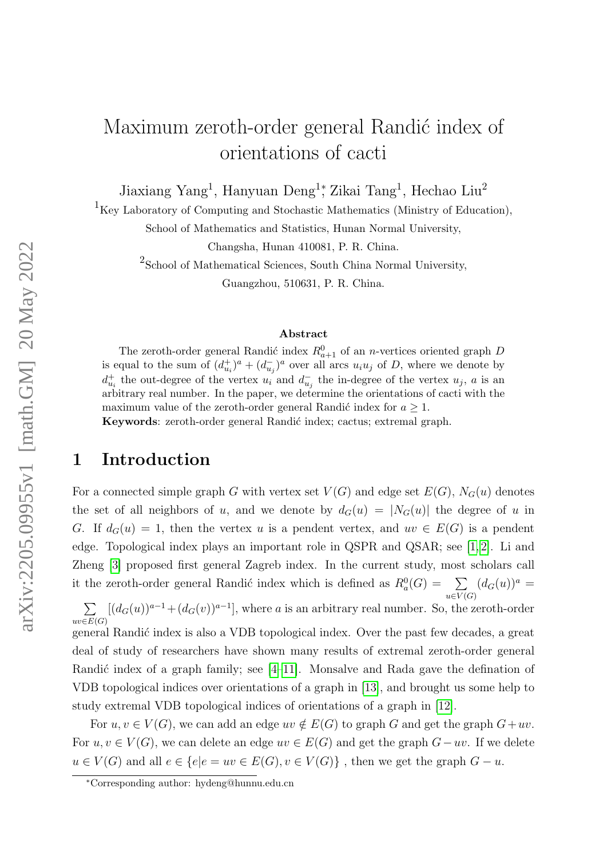# Maximum zeroth-order general Randić index of orientations of cacti

Jiaxiang Yang<sup>1</sup>, Hanyuan Deng<sup>1</sup><sup>\*</sup>, Zikai Tang<sup>1</sup>, Hechao Liu<sup>2</sup>

 $^{1}\mathrm{Key}$  Laboratory of Computing and Stochastic Mathematics (Ministry of Education),

School of Mathematics and Statistics, Hunan Normal University,

Changsha, Hunan 410081, P. R. China.

2 School of Mathematical Sciences, South China Normal University,

Guangzhou, 510631, P. R. China.

#### Abstract

The zeroth-order general Randić index  $R_{a+1}^0$  of an *n*-vertices oriented graph D is equal to the sum of  $(d_{u_i}^+)^a + (d_{u_j}^-)^a$  over all arcs  $u_i u_j$  of D, where we denote by  $d_{u_i}^+$  the out-degree of the vertex  $u_i$  and  $d_{u_j}^-$  the in-degree of the vertex  $u_j$ , a is an arbitrary real number. In the paper, we determine the orientations of cacti with the maximum value of the zeroth-order general Randić index for  $a \geq 1$ . Keywords: zeroth-order general Randić index; cactus; extremal graph.

#### 1 Introduction

For a connected simple graph G with vertex set  $V(G)$  and edge set  $E(G)$ ,  $N_G(u)$  denotes the set of all neighbors of u, and we denote by  $d_G(u) = |N_G(u)|$  the degree of u in G. If  $d_G(u) = 1$ , then the vertex u is a pendent vertex, and  $uv \in E(G)$  is a pendent edge. Topological index plays an important role in QSPR and QSAR; see [\[1,](#page-15-0) [2\]](#page-15-1). Li and Zheng [\[3\]](#page-15-2) proposed first general Zagreb index. In the current study, most scholars call it the zeroth-order general Randić index which is defined as  $R_a^0(G) = \sum_{\alpha}$  $u\in V(G)$  $(d_G(u))^a =$  $\sum$  $[(d_G(u))^{a-1}+(d_G(v))^{a-1}]$ , where a is an arbitrary real number. So, the zeroth-order

 $uv\in E(G)$ general Randić index is also a VDB topological index. Over the past few decades, a great deal of study of researchers have shown many results of extremal zeroth-order general Randić index of a graph family; see  $[4-11]$  $[4-11]$ . Monsalve and Rada gave the defination of VDB topological indices over orientations of a graph in [\[13\]](#page-16-1), and brought us some help to study extremal VDB topological indices of orientations of a graph in [\[12\]](#page-16-2).

For  $u, v \in V(G)$ , we can add an edge  $uv \notin E(G)$  to graph G and get the graph  $G+uv$ . For  $u, v \in V(G)$ , we can delete an edge  $uv \in E(G)$  and get the graph  $G-uv$ . If we delete  $u \in V(G)$  and all  $e \in \{e | e = uv \in E(G), v \in V(G)\}\$ , then we get the graph  $G - u$ .

<sup>∗</sup>Corresponding author: hydeng@hunnu.edu.cn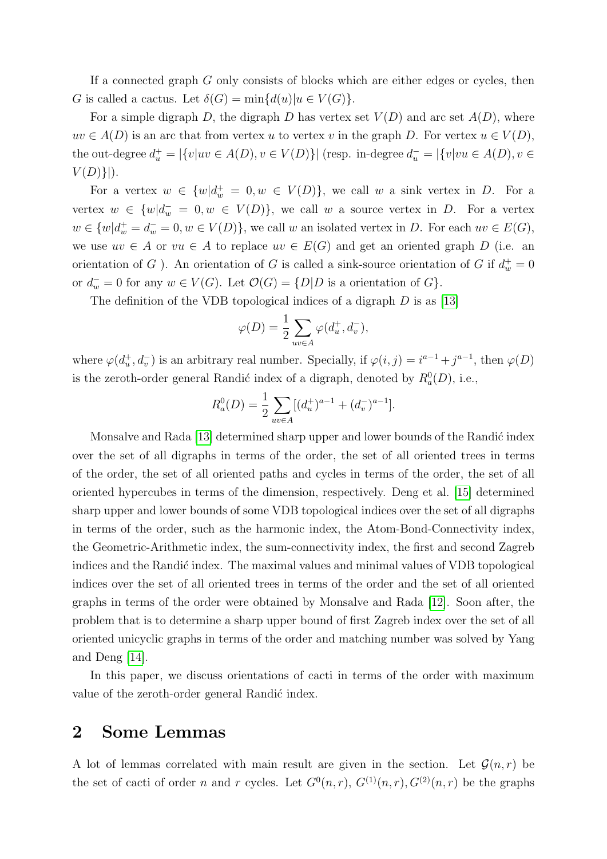If a connected graph G only consists of blocks which are either edges or cycles, then G is called a cactus. Let  $\delta(G) = \min\{d(u)|u \in V(G)\}.$ 

For a simple digraph D, the digraph D has vertex set  $V(D)$  and arc set  $A(D)$ , where  $uv \in A(D)$  is an arc that from vertex u to vertex v in the graph D. For vertex  $u \in V(D)$ , the out-degree  $d_u^+ = |\{v|uv \in A(D), v \in V(D)\}|$  (resp. in-degree  $d_u^- = |\{v|vu \in A(D), v \in$  $V(D)\}$ .

For a vertex  $w \in \{w | d_w^+ = 0, w \in V(D) \}$ , we call w a sink vertex in D. For a vertex  $w \in \{w | d_w = 0, w \in V(D) \}$ , we call w a source vertex in D. For a vertex  $w \in \{w | d_w^+ = d_w^- = 0, w \in V(D) \},$  we call w an isolated vertex in D. For each  $uv \in E(G)$ , we use  $uv \in A$  or  $vu \in A$  to replace  $uv \in E(G)$  and get an oriented graph D (i.e. an orientation of G  $)$ . An orientation of G is called a sink-source orientation of G if  $d_w^+ = 0$ or  $d_w^- = 0$  for any  $w \in V(G)$ . Let  $\mathcal{O}(G) = \{D | D$  is a orientation of  $G\}$ .

The definition of the VDB topological indices of a digraph  $D$  is as [\[13\]](#page-16-1)

$$
\varphi(D) = \frac{1}{2} \sum_{uv \in A} \varphi(d_u^+, d_v^-),
$$

where  $\varphi(d_u^+, d_v^-)$  is an arbitrary real number. Specially, if  $\varphi(i, j) = i^{a-1} + j^{a-1}$ , then  $\varphi(D)$ is the zeroth-order general Randić index of a digraph, denoted by  $R_a^0(D)$ , i.e.,

$$
R_a^0(D) = \frac{1}{2} \sum_{uv \in A} [(d_u^+)^{a-1} + (d_v^-)^{a-1}].
$$

Monsalve and Rada [\[13\]](#page-16-1) determined sharp upper and lower bounds of the Randić index over the set of all digraphs in terms of the order, the set of all oriented trees in terms of the order, the set of all oriented paths and cycles in terms of the order, the set of all oriented hypercubes in terms of the dimension, respectively. Deng et al. [\[15\]](#page-16-3) determined sharp upper and lower bounds of some VDB topological indices over the set of all digraphs in terms of the order, such as the harmonic index, the Atom-Bond-Connectivity index, the Geometric-Arithmetic index, the sum-connectivity index, the first and second Zagreb indices and the Randić index. The maximal values and minimal values of VDB topological indices over the set of all oriented trees in terms of the order and the set of all oriented graphs in terms of the order were obtained by Monsalve and Rada [\[12\]](#page-16-2). Soon after, the problem that is to determine a sharp upper bound of first Zagreb index over the set of all oriented unicyclic graphs in terms of the order and matching number was solved by Yang and Deng [\[14\]](#page-16-4).

In this paper, we discuss orientations of cacti in terms of the order with maximum value of the zeroth-order general Randic index.

#### 2 Some Lemmas

A lot of lemmas correlated with main result are given in the section. Let  $\mathcal{G}(n,r)$  be the set of cacti of order n and r cycles. Let  $G^0(n,r)$ ,  $G^{(1)}(n,r)$ ,  $G^{(2)}(n,r)$  be the graphs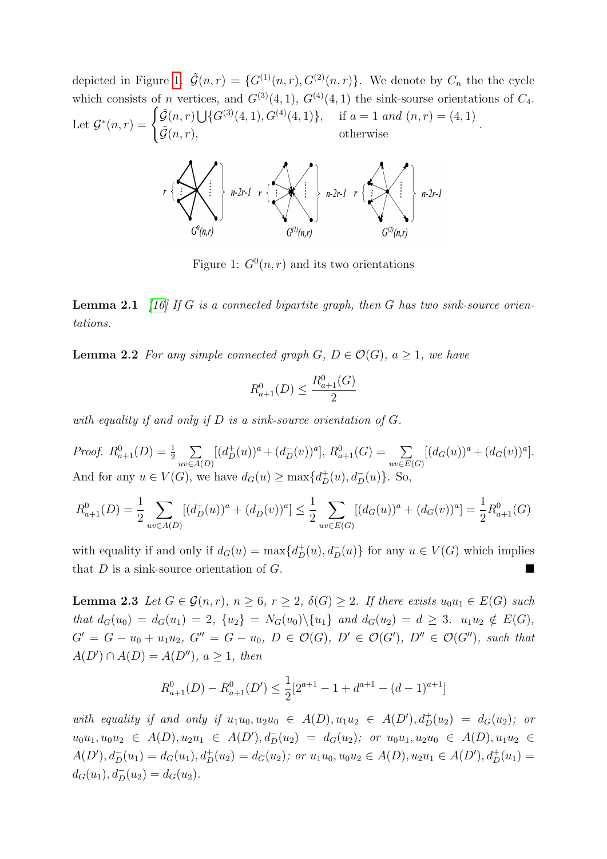depicted in Figure [1.](#page-2-0)  $\tilde{\mathcal{G}}(n,r) = \{G^{(1)}(n,r), G^{(2)}(n,r)\}\.$  We denote by  $C_n$  the the cycle which consists of n vertices, and  $G^{(3)}(4,1)$ ,  $G^{(4)}(4,1)$  the sink-sourse orientations of  $C_4$ . Let  $\mathcal{G}^*(n,r) = \begin{cases} \tilde{\mathcal{G}}(n,r) \bigcup \{ G^{(3)}(4,1), G^{(4)}(4,1) \}, & \text{if } a = 1 \text{ and } (n,r) = (4,1) \end{cases}$  $\tilde{\mathcal{G}}(n,r),$  otherwise  $\tilde{\mathcal{G}}(n,r),$ 



<span id="page-2-0"></span>Figure 1:  $G^0(n,r)$  and its two orientations

<span id="page-2-1"></span>**Lemma 2.1** [\[16\]](#page-16-5) If G is a connected bipartite graph, then G has two sink-source orientations.

<span id="page-2-2"></span>**Lemma 2.2** For any simple connected graph G,  $D \in \mathcal{O}(G)$ ,  $a > 1$ , we have

$$
R_{a+1}^0(D) \le \frac{R_{a+1}^0(G)}{2}
$$

with equality if and only if  $D$  is a sink-source orientation of  $G$ .

*Proof.*  $R_{a+1}^0(D) = \frac{1}{2} \sum_{i=1}^{3} R_{i}^0(D)$  $uv\in A(D)$  $[(d^+_D(u))^a + (d^-_D(v))^a], R^0_{a+1}(G) = \sum$  $uv\in E(G)$  $[(d_G(u))^a + (d_G(v))^a].$ And for any  $u \in V(G)$ , we have  $d_G(u) \ge \max\{d_D^+(u), d_D^-(u)\}$ . So,

$$
R_{a+1}^0(D) = \frac{1}{2} \sum_{uv \in A(D)} [(d_D^+(u))^a + (d_D^-(v))^a] \le \frac{1}{2} \sum_{uv \in E(G)} [(d_G(u))^a + (d_G(v))^a] = \frac{1}{2} R_{a+1}^0(G)
$$

with equality if and only if  $d_G(u) = \max\{d_D^+(u), d_D^-(u)\}\)$  for any  $u \in V(G)$  which implies that  $D$  is a sink-source orientation of  $G$ .

<span id="page-2-3"></span>**Lemma 2.3** Let  $G \in \mathcal{G}(n,r)$ ,  $n \geq 6$ ,  $r \geq 2$ ,  $\delta(G) \geq 2$ . If there exists  $u_0u_1 \in E(G)$  such that  $d_G(u_0) = d_G(u_1) = 2$ ,  $\{u_2\} = N_G(u_0) \setminus \{u_1\}$  and  $d_G(u_2) = d \geq 3$ .  $u_1u_2 \notin E(G)$ ,  $G' = G - u_0 + u_1 u_2$ ,  $G'' = G - u_0$ ,  $D \in \mathcal{O}(G)$ ,  $D' \in \mathcal{O}(G')$ ,  $D'' \in \mathcal{O}(G'')$ , such that  $A(D') \cap A(D) = A(D''), a \geq 1$ , then

$$
R_{a+1}^0(D) - R_{a+1}^0(D') \le \frac{1}{2} [2^{a+1} - 1 + d^{a+1} - (d-1)^{a+1}]
$$

with equality if and only if  $u_1u_0, u_2u_0 \in A(D), u_1u_2 \in A(D'), d^+_D(u_2) = d_G(u_2);$  or  $u_0u_1, u_0u_2 \in A(D), u_2u_1 \in A(D'), d_D^-(u_2) = d_G(u_2); \text{ or } u_0u_1, u_2u_0 \in A(D), u_1u_2 \in A(D),$  $A(D'), d_D^-(u_1) = d_G(u_1), d_D^+(u_2) = d_G(u_2); \text{ or } u_1u_0, u_0u_2 \in A(D), u_2u_1 \in A(D'), d_D^+(u_1) =$  $d_G(u_1), d_D^-(u_2) = d_G(u_2).$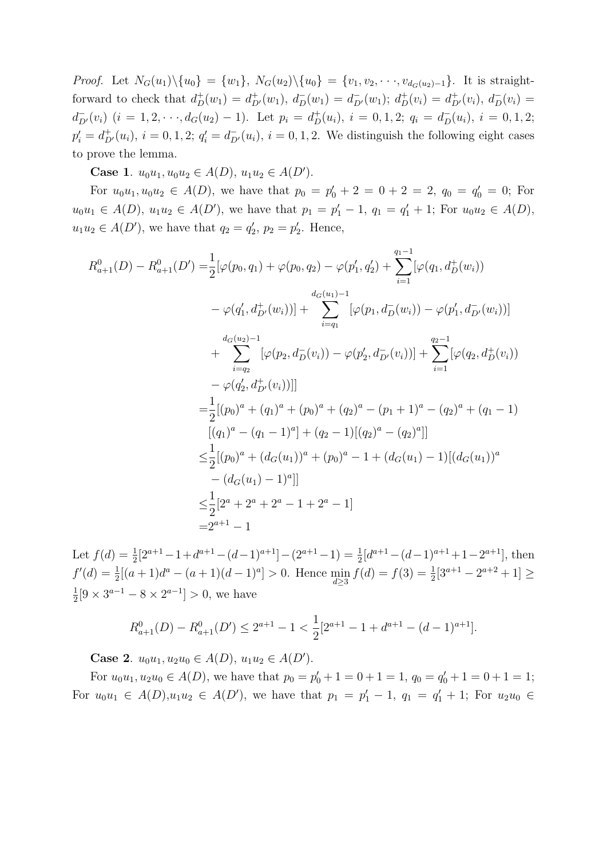Proof. Let  $N_G(u_1)\setminus\{u_0\} = \{w_1\}, N_G(u_2)\setminus\{u_0\} = \{v_1, v_2, \dots, v_{d_G(u_2)-1}\}.$  It is straightforward to check that  $d^+_D(w_1) = d^+_{D'}(w_1)$ ,  $d^-_D(w_1) = d^-_{D'}(w_1)$ ;  $d^+_D(v_i) = d^+_{D'}(v_i)$ ,  $d^-_D(v_i) =$  $d_{D'}^-(v_i)$   $(i = 1, 2, \dots, d_G(u_2) - 1)$ . Let  $p_i = d_D^+(u_i)$ ,  $i = 0, 1, 2$ ;  $q_i = d_D^-(u_i)$ ,  $i = 0, 1, 2$ ;  $p'_{i} = d_{D'}^{+}(u_{i}), i = 0, 1, 2; q'_{i} = d_{D'}^{-}(u_{i}), i = 0, 1, 2.$  We distinguish the following eight cases to prove the lemma.

Case 1.  $u_0u_1, u_0u_2 \in A(D), u_1u_2 \in A(D').$ 

For  $u_0u_1, u_0u_2 \in A(D)$ , we have that  $p_0 = p'_0 + 2 = 0 + 2 = 2$ ,  $q_0 = q'_0 = 0$ ; For  $u_0u_1 \in A(D)$ ,  $u_1u_2 \in A(D')$ , we have that  $p_1 = p'_1 - 1$ ,  $q_1 = q'_1 + 1$ ; For  $u_0u_2 \in A(D)$ ,  $u_1u_2 \in A(D')$ , we have that  $q_2 = q'_2$ ,  $p_2 = p'_2$ . Hence,

$$
R_{a+1}^{0}(D) - R_{a+1}^{0}(D') = \frac{1}{2} [\varphi(p_0, q_1) + \varphi(p_0, q_2) - \varphi(p'_1, q'_2) + \sum_{i=1}^{q_1 - 1} [\varphi(q_1, d_D^+(w_i))]
$$
  
\n
$$
- \varphi(q'_1, d_{D'}^+(w_i))] + \sum_{i=q_1}^{d_G(u_1)-1} [\varphi(p_1, d_D^-(w_i)) - \varphi(p'_1, d_{D'}^-(w_i))]
$$
  
\n
$$
+ \sum_{i=q_2}^{d_G(u_2)-1} [\varphi(p_2, d_D^-(v_i)) - \varphi(p'_2, d_{D'}^-(v_i))] + \sum_{i=1}^{q_2 - 1} [\varphi(q_2, d_D^+(v_i))]
$$
  
\n
$$
- \varphi(q'_2, d_{D'}^+(v_i))]]
$$
  
\n
$$
= \frac{1}{2} [(p_0)^a + (q_1)^a + (p_0)^a + (q_2)^a - (p_1 + 1)^a - (q_2)^a + (q_1 - 1)
$$
  
\n
$$
[(q_1)^a - (q_1 - 1)^a] + (q_2 - 1)[(q_2)^a - (q_2)^a]]
$$
  
\n
$$
\leq \frac{1}{2} [(p_0)^a + (d_G(u_1))^a + (p_0)^a - 1 + (d_G(u_1) - 1)[(d_G(u_1))^a - (d_G(u_1) - 1)^a]]
$$
  
\n
$$
\leq \frac{1}{2} [2^a + 2^a + 2^a - 1 + 2^a - 1]
$$
  
\n
$$
= 2^{a+1} - 1
$$

Let  $f(d) = \frac{1}{2}[2^{a+1}-1+d^{a+1}-(d-1)^{a+1}] - (2^{a+1}-1) = \frac{1}{2}[d^{a+1}-(d-1)^{a+1}+1-2^{a+1}],$  then  $f'(d) = \frac{1}{2}[(a+1)d^a - (a+1)(d-1)^a] > 0.$  Hence  $\min_{d \ge 3} f(d) = f(3) = \frac{1}{2}[3^{a+1} - 2^{a+2} + 1] \ge$ 1  $\frac{1}{2}[9 \times 3^{a-1} - 8 \times 2^{a-1}] > 0$ , we have

$$
R_{a+1}^{0}(D) - R_{a+1}^{0}(D') \le 2^{a+1} - 1 < \frac{1}{2} [2^{a+1} - 1 + d^{a+1} - (d-1)^{a+1}].
$$

Case 2.  $u_0u_1, u_2u_0 \in A(D), u_1u_2 \in A(D').$ 

For  $u_0u_1, u_2u_0 \in A(D)$ , we have that  $p_0 = p'_0 + 1 = 0 + 1 = 1$ ,  $q_0 = q'_0 + 1 = 0 + 1 = 1$ ; For  $u_0u_1 \in A(D), u_1u_2 \in A(D')$ , we have that  $p_1 = p'_1 - 1$ ,  $q_1 = q'_1 + 1$ ; For  $u_2u_0 \in A(D)$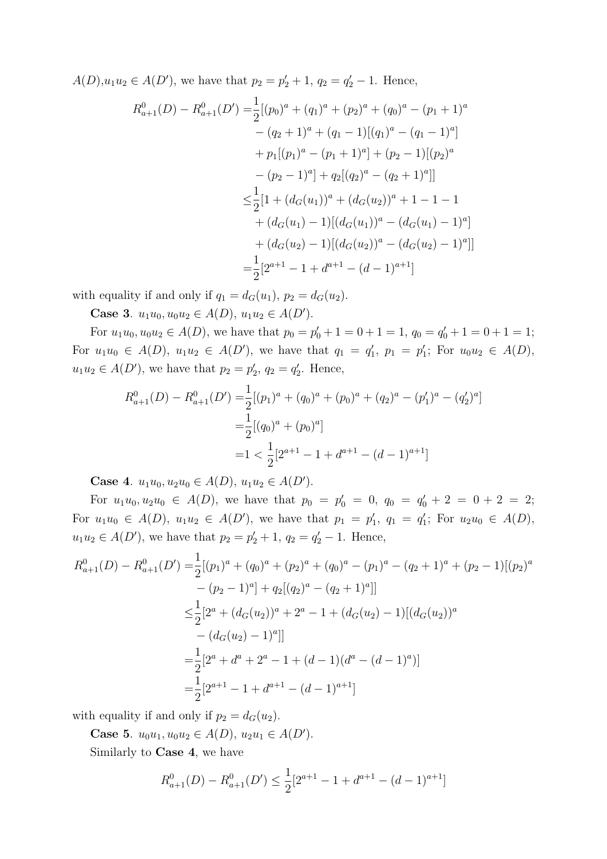$A(D), u_1u_2 \in A(D')$ , we have that  $p_2 = p'_2 + 1$ ,  $q_2 = q'_2 - 1$ . Hence,

$$
R_{a+1}^{0}(D) - R_{a+1}^{0}(D') = \frac{1}{2}[(p_{0})^{a} + (q_{1})^{a} + (p_{2})^{a} + (q_{0})^{a} - (p_{1} + 1)^{a}
$$
  
\n
$$
- (q_{2} + 1)^{a} + (q_{1} - 1)[(q_{1})^{a} - (q_{1} - 1)^{a}]
$$
  
\n
$$
+ p_{1}[(p_{1})^{a} - (p_{1} + 1)^{a}] + (p_{2} - 1)[(p_{2})^{a}
$$
  
\n
$$
- (p_{2} - 1)^{a}] + q_{2}[(q_{2})^{a} - (q_{2} + 1)^{a}]
$$
  
\n
$$
\leq \frac{1}{2}[1 + (d_{G}(u_{1}))^{a} + (d_{G}(u_{2}))^{a} + 1 - 1 - 1
$$
  
\n
$$
+ (d_{G}(u_{1}) - 1)[(d_{G}(u_{1}))^{a} - (d_{G}(u_{1}) - 1)^{a}]
$$
  
\n
$$
+ (d_{G}(u_{2}) - 1)[(d_{G}(u_{2}))^{a} - (d_{G}(u_{2}) - 1)^{a}]
$$
  
\n
$$
= \frac{1}{2}[2^{a+1} - 1 + d^{a+1} - (d - 1)^{a+1}]
$$

with equality if and only if  $q_1 = d_G(u_1)$ ,  $p_2 = d_G(u_2)$ .

Case 3.  $u_1u_0, u_0u_2 \in A(D), u_1u_2 \in A(D').$ 

For  $u_1u_0, u_0u_2 \in A(D)$ , we have that  $p_0 = p'_0 + 1 = 0 + 1 = 1$ ,  $q_0 = q'_0 + 1 = 0 + 1 = 1$ ; For  $u_1u_0 \in A(D)$ ,  $u_1u_2 \in A(D')$ , we have that  $q_1 = q'_1$ ,  $p_1 = p'_1$ ; For  $u_0u_2 \in A(D)$ ,  $u_1u_2 \in A(D')$ , we have that  $p_2 = p'_2$ ,  $q_2 = q'_2$ . Hence,

$$
R_{a+1}^{0}(D) - R_{a+1}^{0}(D') = \frac{1}{2} [(p_1)^{a} + (q_0)^{a} + (p_0)^{a} + (q_2)^{a} - (p'_1)^{a} - (q'_2)^{a}]
$$
  

$$
= \frac{1}{2} [(q_0)^{a} + (p_0)^{a}]
$$
  

$$
= 1 < \frac{1}{2} [2^{a+1} - 1 + d^{a+1} - (d-1)^{a+1}]
$$

Case 4.  $u_1u_0, u_2u_0 \in A(D), u_1u_2 \in A(D').$ 

For  $u_1u_0, u_2u_0 \in A(D)$ , we have that  $p_0 = p'_0 = 0$ ,  $q_0 = q'_0 + 2 = 0 + 2 = 2$ ; For  $u_1u_0 \in A(D)$ ,  $u_1u_2 \in A(D')$ , we have that  $p_1 = p'_1$ ,  $q_1 = q'_1$ ; For  $u_2u_0 \in A(D)$ ,  $u_1u_2 \in A(D')$ , we have that  $p_2 = p'_2 + 1$ ,  $q_2 = q'_2 - 1$ . Hence,

$$
R_{a+1}^{0}(D) - R_{a+1}^{0}(D') = \frac{1}{2}[(p_{1})^{a} + (q_{0})^{a} + (p_{2})^{a} + (q_{0})^{a} - (p_{1})^{a} - (q_{2} + 1)^{a} + (p_{2} - 1)[(p_{2})^{a} - (p_{2} - 1)^{a}] + q_{2}[(q_{2})^{a} - (q_{2} + 1)^{a}]]
$$
  
\n
$$
\leq \frac{1}{2}[2^{a} + (d_{G}(u_{2}))^{a} + 2^{a} - 1 + (d_{G}(u_{2}) - 1)[(d_{G}(u_{2}))^{a} - (d_{G}(u_{2}) - 1)^{a}]]
$$
  
\n
$$
= \frac{1}{2}[2^{a} + d^{a} + 2^{a} - 1 + (d - 1)(d^{a} - (d - 1)^{a})]
$$
  
\n
$$
= \frac{1}{2}[2^{a+1} - 1 + d^{a+1} - (d - 1)^{a+1}]
$$

with equality if and only if  $p_2 = d_G(u_2)$ .

Case 5.  $u_0u_1, u_0u_2 \in A(D), u_2u_1 \in A(D').$ 

Similarly to Case 4, we have

$$
R_{a+1}^{0}(D) - R_{a+1}^{0}(D') \le \frac{1}{2} [2^{a+1} - 1 + d^{a+1} - (d-1)^{a+1}]
$$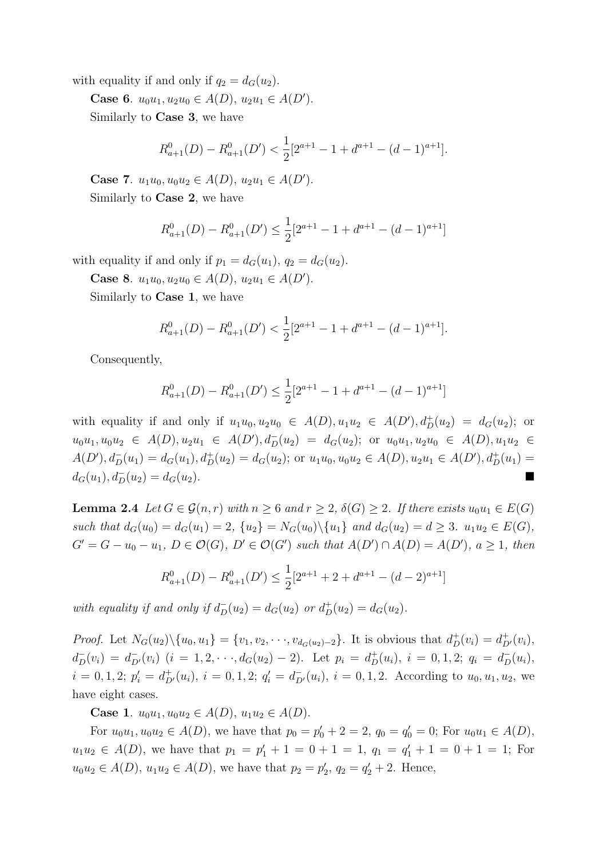with equality if and only if  $q_2 = d_G(u_2)$ .

Case 6.  $u_0u_1, u_2u_0 \in A(D), u_2u_1 \in A(D').$ 

Similarly to Case 3, we have

$$
R_{a+1}^{0}(D) - R_{a+1}^{0}(D') < \frac{1}{2} [2^{a+1} - 1 + d^{a+1} - (d-1)^{a+1}].
$$

Case 7.  $u_1u_0, u_0u_2 \in A(D), u_2u_1 \in A(D').$ 

Similarly to Case 2, we have

$$
R_{a+1}^0(D) - R_{a+1}^0(D') \le \frac{1}{2} [2^{a+1} - 1 + d^{a+1} - (d-1)^{a+1}]
$$

with equality if and only if  $p_1 = d_G(u_1)$ ,  $q_2 = d_G(u_2)$ .

Case 8.  $u_1u_0, u_2u_0 \in A(D), u_2u_1 \in A(D').$ 

Similarly to Case 1, we have

$$
R_{a+1}^{0}(D) - R_{a+1}^{0}(D') < \frac{1}{2} [2^{a+1} - 1 + d^{a+1} - (d-1)^{a+1}].
$$

Consequently,

$$
R_{a+1}^0(D) - R_{a+1}^0(D') \le \frac{1}{2} [2^{a+1} - 1 + d^{a+1} - (d-1)^{a+1}]
$$

with equality if and only if  $u_1u_0, u_2u_0 \in A(D), u_1u_2 \in A(D'), d^+_D(u_2) = d_G(u_2)$ ; or  $u_0u_1, u_0u_2 \in A(D), u_2u_1 \in A(D'), d_D^-(u_2) = d_G(u_2);$  or  $u_0u_1, u_2u_0 \in A(D), u_1u_2 \in A(D), u_2u_1 \in A(D)$  $A(D'), d_D^-(u_1) = d_G(u_1), d_D^+(u_2) = d_G(u_2)$ ; or  $u_1u_0, u_0u_2 \in A(D), u_2u_1 \in A(D'), d_D^+(u_1) =$  $d_G(u_1), d_D^-(u_2) = d_G(u_2).$ 

<span id="page-5-0"></span>**Lemma 2.4** Let  $G \in \mathcal{G}(n,r)$  with  $n \geq 6$  and  $r \geq 2$ ,  $\delta(G) \geq 2$ . If there exists  $u_0u_1 \in E(G)$ such that  $d_G(u_0) = d_G(u_1) = 2$ ,  $\{u_2\} = N_G(u_0) \setminus \{u_1\}$  and  $d_G(u_2) = d \geq 3$ .  $u_1 u_2 \in E(G)$ ,  $G' = G - u_0 - u_1, D \in \mathcal{O}(G), D' \in \mathcal{O}(G')$  such that  $A(D') \cap A(D) = A(D'), a \ge 1$ , then

$$
R_{a+1}^0(D) - R_{a+1}^0(D') \le \frac{1}{2} [2^{a+1} + 2 + d^{a+1} - (d-2)^{a+1}]
$$

with equality if and only if  $d_D^-(u_2) = d_G(u_2)$  or  $d_D^+(u_2) = d_G(u_2)$ .

*Proof.* Let  $N_G(u_2)\setminus\{u_0, u_1\} = \{v_1, v_2, \dots, v_{d_G(u_2)-2}\}\.$  It is obvious that  $d^+_D(v_i) = d^+_{D'}(v_i)$ ,  $d_{D}^{-}(v_{i}) = d_{D'}^{-}(v_{i})$   $(i = 1, 2, \dots, d_{G}(u_{2}) - 2)$ . Let  $p_{i} = d_{D}^{+}(u_{i}), i = 0, 1, 2; q_{i} = d_{D}^{-}(u_{i}),$  $i = 0, 1, 2; p'_{i} = d_{D'}^{+}(u_{i}), i = 0, 1, 2; q'_{i} = d_{D'}^{-}(u_{i}), i = 0, 1, 2.$  According to  $u_{0}, u_{1}, u_{2},$  we have eight cases.

Case 1.  $u_0u_1, u_0u_2 \in A(D), u_1u_2 \in A(D)$ .

For  $u_0u_1, u_0u_2 \in A(D)$ , we have that  $p_0 = p'_0 + 2 = 2$ ,  $q_0 = q'_0 = 0$ ; For  $u_0u_1 \in A(D)$ ,  $u_1u_2 \in A(D)$ , we have that  $p_1 = p'_1 + 1 = 0 + 1 = 1$ ,  $q_1 = q'_1 + 1 = 0 + 1 = 1$ ; For  $u_0u_2 \in A(D)$ ,  $u_1u_2 \in A(D)$ , we have that  $p_2 = p'_2$ ,  $q_2 = q'_2 + 2$ . Hence,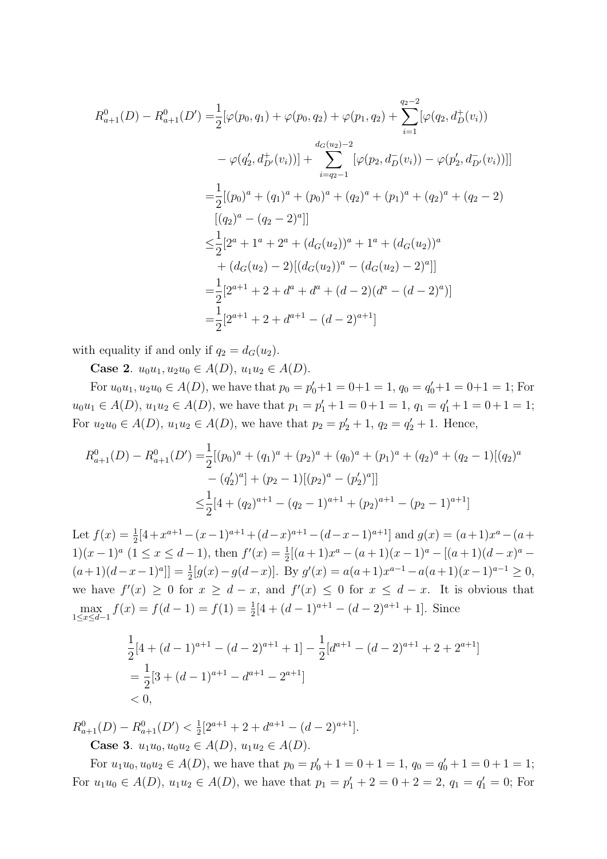$$
R_{a+1}^{0}(D) - R_{a+1}^{0}(D') = \frac{1}{2} [\varphi(p_0, q_1) + \varphi(p_0, q_2) + \varphi(p_1, q_2) + \sum_{i=1}^{q_2-2} [\varphi(q_2, d_D^+(v_i))
$$
  

$$
- \varphi(q_2', d_{D'}^+(v_i))] + \sum_{i=q_2-1}^{d_G(u_2)-2} [\varphi(p_2, d_D^-(v_i)) - \varphi(p_2', d_{D'}^-(v_i))]]
$$
  

$$
= \frac{1}{2} [(p_0)^a + (q_1)^a + (p_0)^a + (q_2)^a + (p_1)^a + (q_2)^a + (q_2 - 2)
$$
  

$$
[(q_2)^a - (q_2 - 2)^a]]
$$
  

$$
\leq \frac{1}{2} [2^a + 1^a + 2^a + (d_G(u_2))^a + 1^a + (d_G(u_2))^a
$$
  

$$
+ (d_G(u_2) - 2) [(d_G(u_2))^a - (d_G(u_2) - 2)^a]]
$$
  

$$
= \frac{1}{2} [2^{a+1} + 2 + d^a + d^a + (d - 2)(d^a - (d - 2)^a)]
$$
  

$$
= \frac{1}{2} [2^{a+1} + 2 + d^{a+1} - (d - 2)^{a+1}]
$$

with equality if and only if  $q_2 = d_G(u_2)$ .

Case 2.  $u_0u_1, u_2u_0 \in A(D)$ ,  $u_1u_2 \in A(D)$ .

For  $u_0u_1, u_2u_0 \in A(D)$ , we have that  $p_0 = p'_0 + 1 = 0 + 1 = 1$ ,  $q_0 = q'_0 + 1 = 0 + 1 = 1$ ; For  $u_0u_1 \in A(D)$ ,  $u_1u_2 \in A(D)$ , we have that  $p_1 = p'_1 + 1 = 0 + 1 = 1$ ,  $q_1 = q'_1 + 1 = 0 + 1 = 1$ ; For  $u_2u_0 \in A(D)$ ,  $u_1u_2 \in A(D)$ , we have that  $p_2 = p'_2 + 1$ ,  $q_2 = q'_2 + 1$ . Hence,

$$
R_{a+1}^{0}(D) - R_{a+1}^{0}(D') = \frac{1}{2} [(p_0)^{a} + (q_1)^{a} + (p_2)^{a} + (q_0)^{a} + (p_1)^{a} + (q_2)^{a} + (q_2 - 1)[(q_2)^{a} - (q'_2)^{a}] + (p_2 - 1)[(p_2)^{a} - (p'_2)^{a}]]
$$
  

$$
\leq \frac{1}{2} [4 + (q_2)^{a+1} - (q_2 - 1)^{a+1} + (p_2)^{a+1} - (p_2 - 1)^{a+1}]
$$

Let  $f(x) = \frac{1}{2}[4 + x^{a+1} - (x-1)^{a+1} + (d-x)^{a+1} - (d-x-1)^{a+1}]$  and  $g(x) = (a+1)x^a - (a+1)^{a+1}$ 1)(x-1)<sup>a</sup> (1 ≤ x ≤ d-1), then  $f'(x) = \frac{1}{2}[(a+1)x^a - (a+1)(x-1)^a - [(a+1)(d-x)^a (a+1)(d-x-1)^{a}$ ] =  $\frac{1}{2}[g(x)-g(d-x)]$ . By  $g'(x) = a(a+1)x^{a-1} - a(a+1)(x-1)^{a-1} \ge 0$ , we have  $f'(x) \geq 0$  for  $x \geq d - x$ , and  $f'(x) \leq 0$  for  $x \leq d - x$ . It is obvious that  $\max_{1 \le x \le d-1} f(x) = f(d-1) = f(1) = \frac{1}{2}[4 + (d-1)^{a+1} - (d-2)^{a+1} + 1].$  Since

$$
\frac{1}{2}[4 + (d-1)^{a+1} - (d-2)^{a+1} + 1] - \frac{1}{2}[d^{a+1} - (d-2)^{a+1} + 2 + 2^{a+1}]
$$
  
=  $\frac{1}{2}[3 + (d-1)^{a+1} - d^{a+1} - 2^{a+1}]$   
< 0,

 $R_{a+1}^0(D) - R_{a+1}^0(D') < \frac{1}{2}$  $\frac{1}{2}[2^{a+1}+2+d^{a+1}-(d-2)^{a+1}].$ Case 3.  $u_1u_0, u_0u_2 \in A(D), u_1u_2 \in A(D)$ .

For  $u_1u_0, u_0u_2 \in A(D)$ , we have that  $p_0 = p'_0 + 1 = 0 + 1 = 1$ ,  $q_0 = q'_0 + 1 = 0 + 1 = 1$ ; For  $u_1u_0 \in A(D)$ ,  $u_1u_2 \in A(D)$ , we have that  $p_1 = p'_1 + 2 = 0 + 2 = 2$ ,  $q_1 = q'_1 = 0$ ; For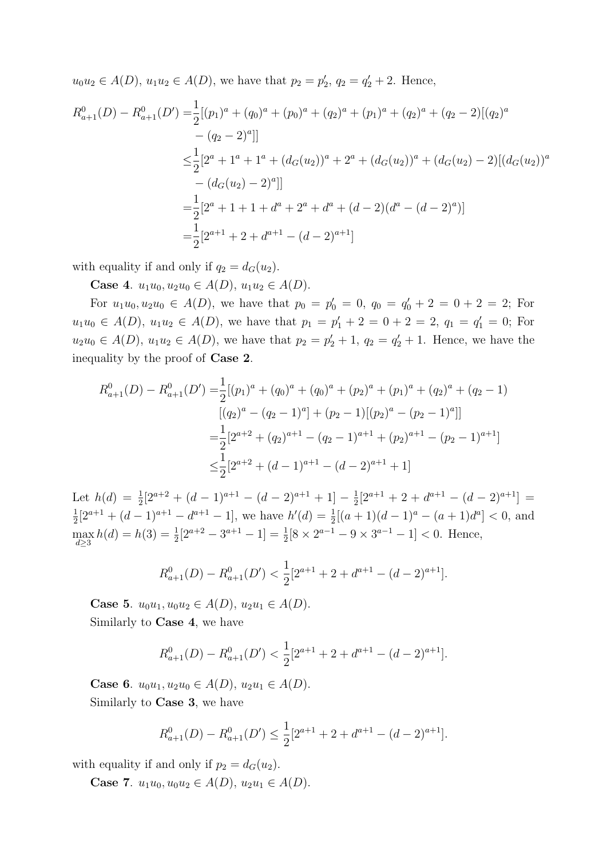$u_0u_2 \in A(D)$ ,  $u_1u_2 \in A(D)$ , we have that  $p_2 = p'_2$ ,  $q_2 = q'_2 + 2$ . Hence,

$$
R_{a+1}^{0}(D) - R_{a+1}^{0}(D') = \frac{1}{2} [(p_1)^{a} + (q_0)^{a} + (p_0)^{a} + (q_2)^{a} + (p_1)^{a} + (q_2)^{a} + (q_2 - 2)[(q_2)^{a} - (q_2 - 2)^{a}]]
$$
  
\n
$$
\leq \frac{1}{2} [2^{a} + 1^{a} + 1^{a} + (d_G(u_2))^{a} + 2^{a} + (d_G(u_2))^{a} + (d_G(u_2) - 2)[(d_G(u_2))^{a} - (d_G(u_2) - 2)^{a}]]
$$
  
\n
$$
= \frac{1}{2} [2^{a} + 1 + 1 + d^{a} + 2^{a} + d^{a} + (d - 2)(d^{a} - (d - 2)^{a})]
$$
  
\n
$$
= \frac{1}{2} [2^{a+1} + 2 + d^{a+1} - (d - 2)^{a+1}]
$$

with equality if and only if  $q_2 = d_G(u_2)$ .

Case 4.  $u_1u_0, u_2u_0 \in A(D), u_1u_2 \in A(D)$ .

For  $u_1u_0, u_2u_0 \in A(D)$ , we have that  $p_0 = p'_0 = 0$ ,  $q_0 = q'_0 + 2 = 0 + 2 = 2$ ; For  $u_1u_0 \in A(D)$ ,  $u_1u_2 \in A(D)$ , we have that  $p_1 = p'_1 + 2 = 0 + 2 = 2$ ,  $q_1 = q'_1 = 0$ ; For  $u_2u_0 \in A(D)$ ,  $u_1u_2 \in A(D)$ , we have that  $p_2 = p'_2 + 1$ ,  $q_2 = q'_2 + 1$ . Hence, we have the inequality by the proof of Case 2.

$$
R_{a+1}^{0}(D) - R_{a+1}^{0}(D') = \frac{1}{2} [(p_1)^{a} + (q_0)^{a} + (q_0)^{a} + (p_2)^{a} + (p_1)^{a} + (q_2)^{a} + (q_2 - 1)
$$
  
\n
$$
[(q_2)^{a} - (q_2 - 1)^{a}] + (p_2 - 1)[(p_2)^{a} - (p_2 - 1)^{a}]]
$$
  
\n
$$
= \frac{1}{2} [2^{a+2} + (q_2)^{a+1} - (q_2 - 1)^{a+1} + (p_2)^{a+1} - (p_2 - 1)^{a+1}]
$$
  
\n
$$
\leq \frac{1}{2} [2^{a+2} + (d-1)^{a+1} - (d-2)^{a+1} + 1]
$$

Let  $h(d) = \frac{1}{2}[2^{a+2} + (d-1)^{a+1} - (d-2)^{a+1} + 1] - \frac{1}{2}$  $\frac{1}{2}[2^{a+1}+2+d^{a+1}-(d-2)^{a+1}] =$ 1  $\frac{1}{2}[2^{a+1} + (d-1)^{a+1} - d^{a+1} - 1]$ , we have  $h'(d) = \frac{1}{2}[(a+1)(d-1)^a - (a+1)d^a] < 0$ , and  $\max_{d\geq 3} h(d) = h(3) = \frac{1}{2}[2^{a+2} - 3^{a+1} - 1] = \frac{1}{2}[8 \times 2^{a-1} - 9 \times 3^{a-1} - 1] < 0.$  Hence,

$$
R_{a+1}^{0}(D) - R_{a+1}^{0}(D') < \frac{1}{2} [2^{a+1} + 2 + d^{a+1} - (d-2)^{a+1}].
$$

Case 5.  $u_0u_1, u_0u_2 \in A(D), u_2u_1 \in A(D)$ . Similarly to Case 4, we have

$$
R_{a+1}^{0}(D) - R_{a+1}^{0}(D') < \frac{1}{2} [2^{a+1} + 2 + d^{a+1} - (d-2)^{a+1}].
$$

Case 6.  $u_0u_1, u_2u_0 \in A(D), u_2u_1 \in A(D)$ . Similarly to Case 3, we have

$$
R_{a+1}^{0}(D) - R_{a+1}^{0}(D') \le \frac{1}{2} [2^{a+1} + 2 + d^{a+1} - (d-2)^{a+1}].
$$

with equality if and only if  $p_2 = d_G(u_2)$ .

Case 7.  $u_1u_0, u_0u_2 \in A(D), u_2u_1 \in A(D)$ .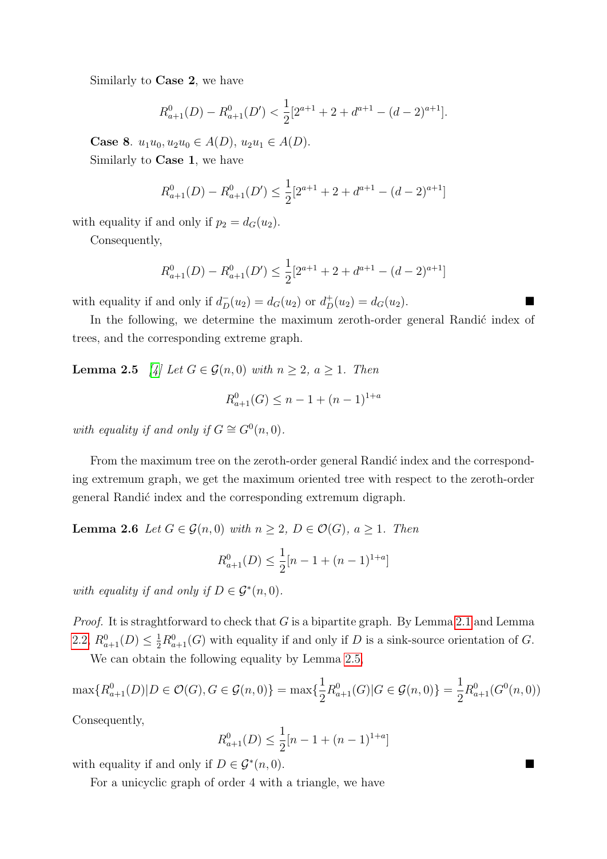Similarly to Case 2, we have

$$
R_{a+1}^{0}(D) - R_{a+1}^{0}(D') < \frac{1}{2} [2^{a+1} + 2 + d^{a+1} - (d-2)^{a+1}].
$$

Case 8.  $u_1u_0, u_2u_0 \in A(D), u_2u_1 \in A(D)$ . Similarly to Case 1, we have

$$
R_{a+1}^{0}(D) - R_{a+1}^{0}(D') \le \frac{1}{2} [2^{a+1} + 2 + d^{a+1} - (d-2)^{a+1}]
$$

with equality if and only if  $p_2 = d_G(u_2)$ .

Consequently,

$$
R_{a+1}^{0}(D) - R_{a+1}^{0}(D') \le \frac{1}{2} [2^{a+1} + 2 + d^{a+1} - (d-2)^{a+1}]
$$

with equality if and only if  $d_D^-(u_2) = d_G(u_2)$  or  $d_D^+(u_2) = d_G(u_2)$ .

In the following, we determine the maximum zeroth-order general Randić index of trees, and the corresponding extreme graph.

<span id="page-8-0"></span>**Lemma 2.5** [\[4\]](#page-15-3) Let  $G \in \mathcal{G}(n,0)$  with  $n \geq 2$ ,  $a \geq 1$ . Then

$$
R_{a+1}^{0}(G) \le n - 1 + (n - 1)^{1+a}
$$

with equality if and only if  $G \cong G^{0}(n,0)$ .

From the maximum tree on the zeroth-order general Randić index and the corresponding extremum graph, we get the maximum oriented tree with respect to the zeroth-order general Randić index and the corresponding extremum digraph.

<span id="page-8-2"></span>**Lemma 2.6** Let  $G \in \mathcal{G}(n,0)$  with  $n \geq 2$ ,  $D \in \mathcal{O}(G)$ ,  $a \geq 1$ . Then

$$
R_{a+1}^0(D) \le \frac{1}{2}[n-1+(n-1)^{1+a}]
$$

with equality if and only if  $D \in \mathcal{G}^*(n,0)$ .

*Proof.* It is straghtforward to check that  $G$  is a bipartite graph. By Lemma [2.1](#page-2-1) and Lemma [2.2,](#page-2-2)  $R_{a+1}^0(D) \leq \frac{1}{2}R_{a+1}^0(G)$  with equality if and only if D is a sink-source orientation of G.

We can obtain the following equality by Lemma [2.5,](#page-8-0)

$$
\max\{R_{a+1}^0(D)|D \in \mathcal{O}(G), G \in \mathcal{G}(n,0)\} = \max\{\frac{1}{2}R_{a+1}^0(G)|G \in \mathcal{G}(n,0)\} = \frac{1}{2}R_{a+1}^0(G^0(n,0))
$$

Consequently,

$$
R_{a+1}^0(D) \le \frac{1}{2}[n-1+(n-1)^{1+a}]
$$

with equality if and only if  $D \in \mathcal{G}^*(n,0)$ .  $(n, 0)$ .

<span id="page-8-1"></span>For a unicyclic graph of order 4 with a triangle, we have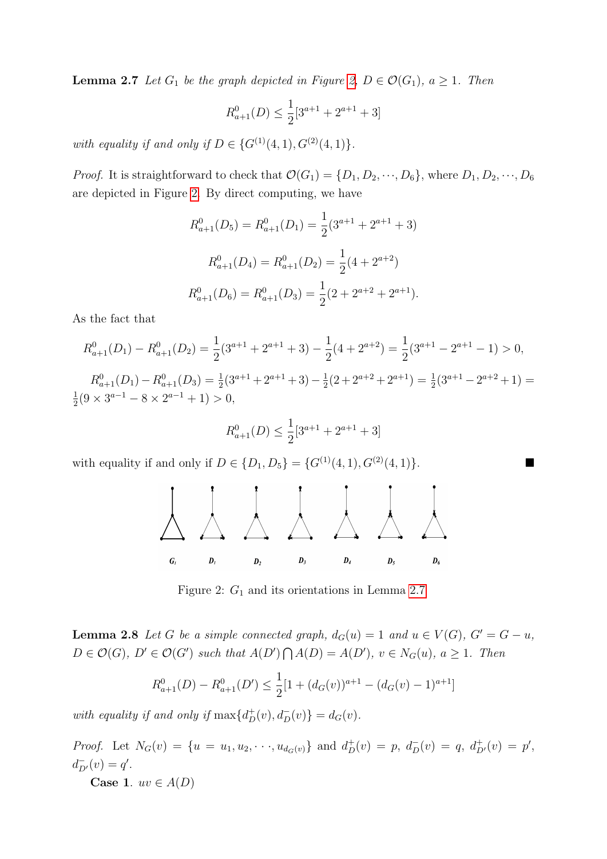**Lemma 2.7** Let  $G_1$  be the graph depicted in Figure [2,](#page-9-0)  $D \in \mathcal{O}(G_1)$ ,  $a \geq 1$ . Then

$$
R_{a+1}^0(D) \le \frac{1}{2} [3^{a+1} + 2^{a+1} + 3]
$$

with equality if and only if  $D \in \{G^{(1)}(4, 1), G^{(2)}(4, 1)\}.$ 

*Proof.* It is straightforward to check that  $\mathcal{O}(G_1) = \{D_1, D_2, \dots, D_6\}$ , where  $D_1, D_2, \dots, D_6$ are depicted in Figure [2.](#page-9-0) By direct computing, we have

$$
R_{a+1}^0(D_5) = R_{a+1}^0(D_1) = \frac{1}{2}(3^{a+1} + 2^{a+1} + 3)
$$
  

$$
R_{a+1}^0(D_4) = R_{a+1}^0(D_2) = \frac{1}{2}(4 + 2^{a+2})
$$
  

$$
R_{a+1}^0(D_6) = R_{a+1}^0(D_3) = \frac{1}{2}(2 + 2^{a+2} + 2^{a+1}).
$$

As the fact that

$$
R_{a+1}^{0}(D_1) - R_{a+1}^{0}(D_2) = \frac{1}{2}(3^{a+1} + 2^{a+1} + 3) - \frac{1}{2}(4 + 2^{a+2}) = \frac{1}{2}(3^{a+1} - 2^{a+1} - 1) > 0,
$$
  
\n
$$
R_{a+1}^{0}(D_1) - R_{a+1}^{0}(D_3) = \frac{1}{2}(3^{a+1} + 2^{a+1} + 3) - \frac{1}{2}(2 + 2^{a+2} + 2^{a+1}) = \frac{1}{2}(3^{a+1} - 2^{a+2} + 1) = \frac{1}{2}(9 \times 3^{a-1} - 8 \times 2^{a-1} + 1) > 0,
$$

$$
R_{a+1}^0(D) \le \frac{1}{2} [3^{a+1} + 2^{a+1} + 3]
$$

with equality if and only if  $D \in \{D_1, D_5\} = \{G^{(1)}(4, 1), G^{(2)}(4, 1)\}.$ 



<span id="page-9-0"></span>Figure 2:  $G_1$  and its orientations in Lemma [2.7](#page-8-1)

<span id="page-9-1"></span>**Lemma 2.8** Let G be a simple connected graph,  $d_G(u) = 1$  and  $u \in V(G)$ ,  $G' = G - u$ ,  $D \in \mathcal{O}(G)$ ,  $D' \in \mathcal{O}(G')$  such that  $A(D') \bigcap A(D) = A(D')$ ,  $v \in N_G(u)$ ,  $a \geq 1$ . Then

$$
R_{a+1}^0(D) - R_{a+1}^0(D') \le \frac{1}{2} [1 + (d_G(v))^{a+1} - (d_G(v) - 1)^{a+1}]
$$

with equality if and only if  $\max\{d^+_D(v), d^-_D(v)\} = d_G(v)$ .

*Proof.* Let  $N_G(v) = \{u = u_1, u_2, \dots, u_{d_G(v)}\}$  and  $d_D^+(v) = p$ ,  $d_D^-(v) = q$ ,  $d_{D'}^+(v) = p'$ ,  $d_{D'}^-(v) = q'.$ Case 1.  $uv \in A(D)$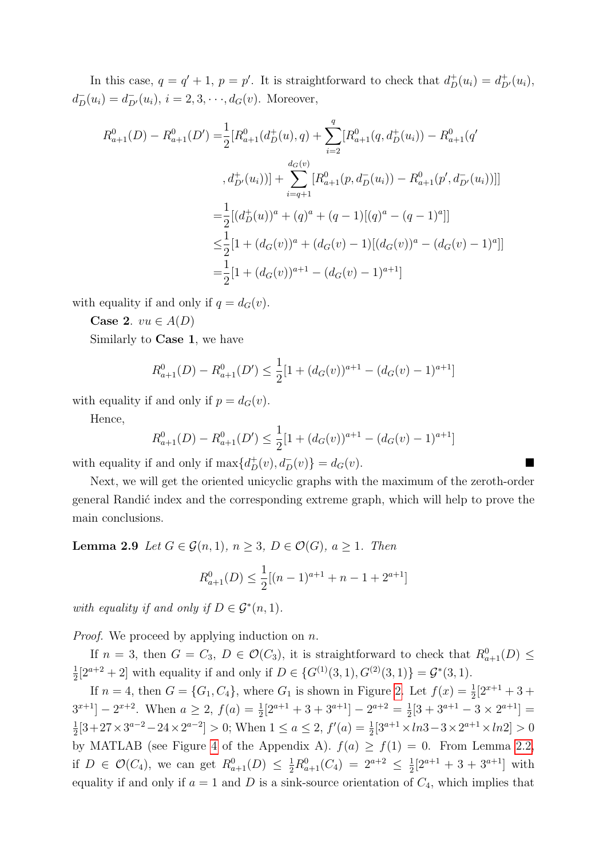In this case,  $q = q' + 1$ ,  $p = p'$ . It is straightforward to check that  $d_D^+(u_i) = d_{D'}^+(u_i)$ ,  $d_D^-(u_i) = d_{D'}^-(u_i), i = 2, 3, \dots, d_G(v)$ . Moreover,

$$
R_{a+1}^{0}(D) - R_{a+1}^{0}(D') = \frac{1}{2} [R_{a+1}^{0}(d_{D}^{+}(u), q) + \sum_{i=2}^{q} [R_{a+1}^{0}(q, d_{D}^{+}(u_{i})) - R_{a+1}^{0}(q')
$$
  

$$
, d_{D'}^{+}(u_{i}))] + \sum_{i=q+1}^{d_{G}(v)} [R_{a+1}^{0}(p, d_{D}^{-}(u_{i})) - R_{a+1}^{0}(p', d_{D'}^{-}(u_{i}))]]
$$
  

$$
= \frac{1}{2} [(d_{D}^{+}(u))^{a} + (q)^{a} + (q - 1)[(q)^{a} - (q - 1)^{a}]]
$$
  

$$
\leq \frac{1}{2} [1 + (d_{G}(v))^{a} + (d_{G}(v) - 1)[(d_{G}(v))^{a} - (d_{G}(v) - 1)^{a}]]
$$
  

$$
= \frac{1}{2} [1 + (d_{G}(v))^{a+1} - (d_{G}(v) - 1)^{a+1}]
$$

with equality if and only if  $q = d_G(v)$ .

Case 2.  $vu \in A(D)$ 

Similarly to Case 1, we have

$$
R_{a+1}^0(D) - R_{a+1}^0(D') \le \frac{1}{2} [1 + (d_G(v))^{a+1} - (d_G(v) - 1)^{a+1}]
$$

with equality if and only if  $p = d_G(v)$ .

Hence,

$$
R_{a+1}^0(D) - R_{a+1}^0(D') \le \frac{1}{2} [1 + (d_G(v))^{a+1} - (d_G(v) - 1)^{a+1}]
$$

with equality if and only if  $\max\{d_D^+(v), d_D^-(v)\} = d_G(v)$ .

Next, we will get the oriented unicyclic graphs with the maximum of the zeroth-order general Randić index and the corresponding extreme graph, which will help to prove the main conclusions.

**Lemma 2.9** Let  $G \in \mathcal{G}(n,1)$ ,  $n \geq 3$ ,  $D \in \mathcal{O}(G)$ ,  $a \geq 1$ . Then

<span id="page-10-0"></span>
$$
R_{a+1}^0(D) \le \frac{1}{2}[(n-1)^{a+1} + n - 1 + 2^{a+1}]
$$

with equality if and only if  $D \in \mathcal{G}^*(n,1)$ .

*Proof.* We proceed by applying induction on  $n$ .

If  $n = 3$ , then  $G = C_3$ ,  $D \in \mathcal{O}(C_3)$ , it is straightforward to check that  $R_{a+1}^0(D) \leq$ 1  $\frac{1}{2}[2^{a+2}+2]$  with equality if and only if  $D \in \{G^{(1)}(3,1), G^{(2)}(3,1)\} = \mathcal{G}^*(3,1)$ .

If  $n = 4$ , then  $G = \{G_1, C_4\}$ , where  $G_1$  is shown in Figure [2.](#page-9-0) Let  $f(x) = \frac{1}{2}[2^{x+1} + 3 +$  $3^{x+1}$ ] –  $2^{x+2}$ . When  $a \ge 2$ ,  $f(a) = \frac{1}{2}[2^{a+1} + 3 + 3^{a+1}] - 2^{a+2} = \frac{1}{2}$  $\frac{1}{2}[3+3^{a+1}-3\times 2^{a+1}] =$ 1  $\frac{1}{2}[3+27\times3^{a-2}-24\times2^{a-2}]>0;$  When  $1\leq a\leq 2$ ,  $f'(a)=\frac{1}{2}[3^{a+1}\times1n3-3\times2^{a+1}\times1n2]>0$ by MATLAB (see Figure [4](#page-15-4) of the Appendix A).  $f(a) \ge f(1) = 0$ . From Lemma [2.2,](#page-2-2) if  $D \in \mathcal{O}(C_4)$ , we can get  $R_{a+1}^0(D) \leq \frac{1}{2}R_{a+1}^0(C_4) = 2^{a+2} \leq \frac{1}{2}$  $\frac{1}{2}[2^{a+1}+3+3^{a+1}]$  with equality if and only if  $a = 1$  and D is a sink-source orientation of  $C_4$ , which implies that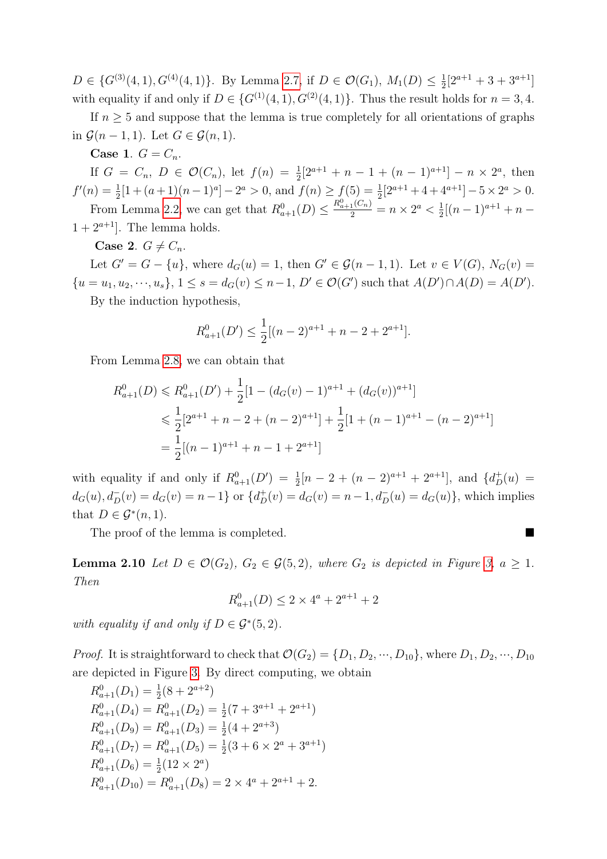$D \in \{G^{(3)}(4,1), G^{(4)}(4,1)\}\$ . By Lemma [2.7,](#page-8-1) if  $D \in \mathcal{O}(G_1)$ ,  $M_1(D) \leq \frac{1}{2}$  $\frac{1}{2}[2^{a+1}+3+3^{a+1}]$ with equality if and only if  $D \in \{G^{(1)}(4, 1), G^{(2)}(4, 1)\}\$ . Thus the result holds for  $n = 3, 4$ .

If  $n \geq 5$  and suppose that the lemma is true completely for all orientations of graphs in  $\mathcal{G}(n-1,1)$ . Let  $G \in \mathcal{G}(n,1)$ .

Case 1.  $G = C_n$ .

If  $G = C_n$ ,  $D \in \mathcal{O}(C_n)$ , let  $f(n) = \frac{1}{2}[2^{a+1} + n - 1 + (n-1)^{a+1}] - n \times 2^a$ , then 2  $f'(n) = \frac{1}{2}[1 + (a+1)(n-1)^a] - 2^a > 0$ , and  $f(n) \ge f(5) = \frac{1}{2}[2^{a+1} + 4 + 4^{a+1}] - 5 \times 2^a > 0$ .

From Lemma [2.2,](#page-2-2) we can get that  $R_{a+1}^0(D) \leq \frac{R_{a+1}^0(C_n)}{2} = n \times 2^a < \frac{1}{2}$  $\frac{1}{2}[(n-1)^{a+1}+n 1 + 2^{a+1}$ . The lemma holds.

Case 2.  $G \neq C_n$ .

Let  $G' = G - \{u\}$ , where  $d_G(u) = 1$ , then  $G' \in \mathcal{G}(n-1, 1)$ . Let  $v \in V(G)$ ,  $N_G(v) =$  $\{u = u_1, u_2, \dots, u_s\}, 1 \le s = d_G(v) \le n-1, D' \in \mathcal{O}(G')$  such that  $A(D') \cap A(D) = A(D')$ .

By the induction hypothesis,

$$
R_{a+1}^0(D') \le \frac{1}{2} [(n-2)^{a+1} + n - 2 + 2^{a+1}].
$$

From Lemma [2.8,](#page-9-1) we can obtain that

$$
R_{a+1}^0(D) \leq R_{a+1}^0(D') + \frac{1}{2} [1 - (d_G(v) - 1)^{a+1} + (d_G(v))^{a+1}]
$$
  
\n
$$
\leq \frac{1}{2} [2^{a+1} + n - 2 + (n - 2)^{a+1}] + \frac{1}{2} [1 + (n - 1)^{a+1} - (n - 2)^{a+1}]
$$
  
\n
$$
= \frac{1}{2} [(n - 1)^{a+1} + n - 1 + 2^{a+1}]
$$

with equality if and only if  $R_{a+1}^0(D') = \frac{1}{2}[n-2+(n-2)^{a+1}+2^{a+1}],$  and  $\{d^+_D(u)$  $d_G(u), d_D^-(v) = d_G(v) = n - 1$  or  $\{d_D^+(v) = d_G(v) = n - 1, d_D^-(u) = d_G(u)\}$ , which implies that  $D \in \mathcal{G}^*(n,1)$ .

The proof of the lemma is completed.

<span id="page-11-0"></span>**Lemma 2.10** Let  $D \in \mathcal{O}(G_2)$ ,  $G_2 \in \mathcal{G}(5, 2)$ , where  $G_2$  is depicted in Figure [3,](#page-12-0)  $a \geq 1$ . Then

$$
R_{a+1}^0(D) \leq 2 \times 4^a + 2^{a+1} + 2
$$

with equality if and only if  $D \in \mathcal{G}^*(5,2)$ .

*Proof.* It is straightforward to check that  $\mathcal{O}(G_2) = \{D_1, D_2, \dots, D_{10}\}$ , where  $D_1, D_2, \dots, D_{10}$ are depicted in Figure [3.](#page-12-0) By direct computing, we obtain

$$
R_{a+1}^{0}(D_1) = \frac{1}{2}(8 + 2^{a+2})
$$
  
\n
$$
R_{a+1}^{0}(D_4) = R_{a+1}^{0}(D_2) = \frac{1}{2}(7 + 3^{a+1} + 2^{a+1})
$$
  
\n
$$
R_{a+1}^{0}(D_9) = R_{a+1}^{0}(D_3) = \frac{1}{2}(4 + 2^{a+3})
$$
  
\n
$$
R_{a+1}^{0}(D_7) = R_{a+1}^{0}(D_5) = \frac{1}{2}(3 + 6 \times 2^a + 3^{a+1})
$$
  
\n
$$
R_{a+1}^{0}(D_6) = \frac{1}{2}(12 \times 2^a)
$$
  
\n
$$
R_{a+1}^{0}(D_{10}) = R_{a+1}^{0}(D_8) = 2 \times 4^a + 2^{a+1} + 2.
$$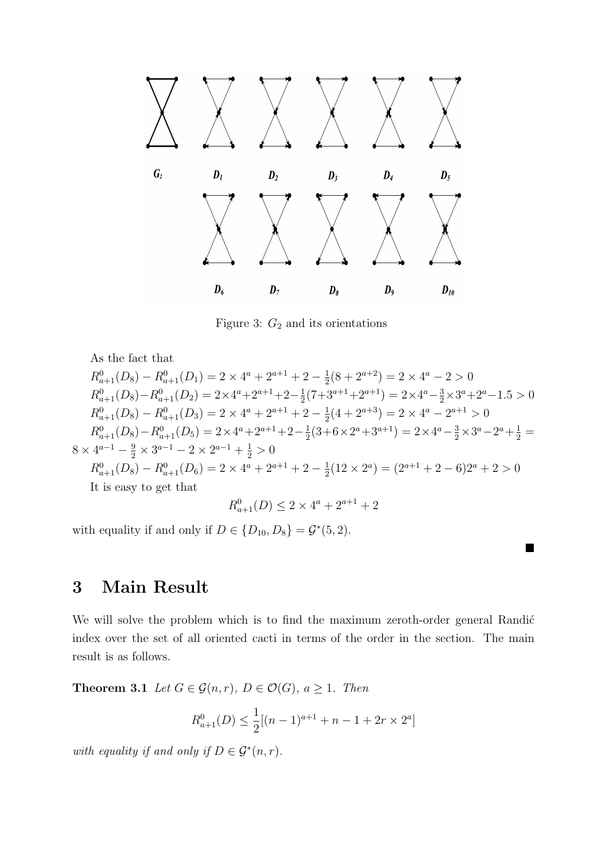

<span id="page-12-0"></span>Figure 3:  $G_2$  and its orientations

As the fact that

 $R_{a+1}^0(D_8) - R_{a+1}^0(D_1) = 2 \times 4^a + 2^{a+1} + 2 - \frac{1}{2}$  $\frac{1}{2}(8+2^{a+2})=2\times 4^a-2>0$  $R_{a+1}^0(D_8) - R_{a+1}^0(D_2) = 2 \times 4^a + 2^{a+1} + 2 - \frac{1}{2}$  $\frac{1}{2}(7+3^{a+1}+2^{a+1}) = 2 \times 4^a - \frac{3}{2} \times 3^a + 2^a - 1.5 > 0$  $R_{a+1}^0(D_8) - R_{a+1}^0(D_3) = 2 \times 4^a + 2^{a+1} + 2 - \frac{1}{2}$  $\frac{1}{2}(4+2^{a+3}) = 2 \times 4^a - 2^{a+1} > 0$  $R_{a+1}^0(D_8) - R_{a+1}^0(D_5) = 2 \times 4^a + 2^{a+1} + 2 - \frac{1}{2}$  $\frac{1}{2}(3+6\times2^a+3^{a+1}) = 2\times4^a - \frac{3}{2}\times3^a - 2^a + \frac{1}{2} =$  $8 \times 4^{a-1} - \frac{9}{2} \times 3^{a-1} - 2 \times 2^{a-1} + \frac{1}{2} > 0$  $R_{a+1}^0(D_8) - R_{a+1}^0(D_6) = 2 \times 4^a + 2^{a+1} + 2 - \frac{1}{2}$  $\frac{1}{2}(12 \times 2^a) = (2^{a+1} + 2 - 6)2^a + 2 > 0$ It is easy to get that  $R_{a+1}^0(D) \leq 2 \times 4^a + 2^{a+1} + 2$ 

with equality if and only if  $D \in \{D_{10}, D_8\} = \mathcal{G}^*(5, 2)$ .

### 3 Main Result

We will solve the problem which is to find the maximum zeroth-order general Randić index over the set of all oriented cacti in terms of the order in the section. The main result is as follows.

■

**Theorem 3.1** Let  $G \in \mathcal{G}(n,r)$ ,  $D \in \mathcal{O}(G)$ ,  $a \geq 1$ . Then

$$
R_{a+1}^{0}(D) \le \frac{1}{2} [(n-1)^{a+1} + n - 1 + 2r \times 2^{a}]
$$

with equality if and only if  $D \in \mathcal{G}^*(n,r)$ .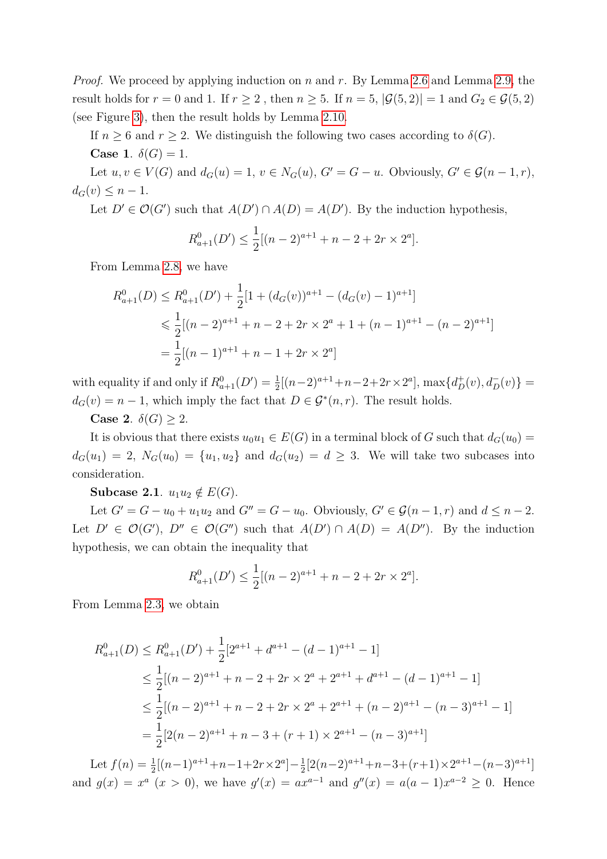*Proof.* We proceed by applying induction on n and r. By Lemma [2.6](#page-8-2) and Lemma [2.9,](#page-10-0) the result holds for  $r = 0$  and 1. If  $r \geq 2$ , then  $n \geq 5$ . If  $n = 5$ ,  $|\mathcal{G}(5, 2)| = 1$  and  $G_2 \in \mathcal{G}(5, 2)$ (see Figure [3\)](#page-12-0), then the result holds by Lemma [2.10.](#page-11-0)

If  $n \geq 6$  and  $r \geq 2$ . We distinguish the following two cases according to  $\delta(G)$ . Case 1.  $\delta(G) = 1$ .

Let  $u, v \in V(G)$  and  $d_G(u) = 1, v \in N_G(u), G' = G - u$ . Obviously,  $G' \in \mathcal{G}(n-1,r)$ ,  $d_G(v) \leq n-1$ .

Let  $D' \in \mathcal{O}(G')$  such that  $A(D') \cap A(D) = A(D')$ . By the induction hypothesis,

$$
R_{a+1}^{0}(D') \le \frac{1}{2} [(n-2)^{a+1} + n - 2 + 2r \times 2^{a}].
$$

From Lemma [2.8,](#page-9-1) we have

$$
R_{a+1}^0(D) \le R_{a+1}^0(D') + \frac{1}{2} [1 + (d_G(v))^{a+1} - (d_G(v) - 1)^{a+1}]
$$
  
\$\le \frac{1}{2} [(n-2)^{a+1} + n - 2 + 2r \times 2^a + 1 + (n-1)^{a+1} - (n-2)^{a+1}]\$  
=  $\frac{1}{2} [(n-1)^{a+1} + n - 1 + 2r \times 2^a]$ 

with equality if and only if  $R_{a+1}^0(D') = \frac{1}{2}[(n-2)^{a+1}+n-2+2r\times2^a]$ ,  $\max\{d_D^+(v), d_D^-(v)\}$  $d_G(v) = n - 1$ , which imply the fact that  $D \in \mathcal{G}^*(n, r)$ . The result holds.

Case 2.  $\delta(G) \geq 2$ .

It is obvious that there exists  $u_0u_1 \in E(G)$  in a terminal block of G such that  $d_G(u_0) =$  $d_G(u_1) = 2$ ,  $N_G(u_0) = \{u_1, u_2\}$  and  $d_G(u_2) = d \geq 3$ . We will take two subcases into consideration.

Subcase 2.1.  $u_1u_2 \notin E(G)$ .

Let  $G' = G - u_0 + u_1 u_2$  and  $G'' = G - u_0$ . Obviously,  $G' \in \mathcal{G}(n-1,r)$  and  $d \leq n-2$ . Let  $D' \in \mathcal{O}(G')$ ,  $D'' \in \mathcal{O}(G'')$  such that  $A(D') \cap A(D) = A(D'')$ . By the induction hypothesis, we can obtain the inequality that

$$
R_{a+1}^{0}(D') \le \frac{1}{2} [(n-2)^{a+1} + n - 2 + 2r \times 2^{a}].
$$

From Lemma [2.3,](#page-2-3) we obtain

$$
R_{a+1}^{0}(D) \leq R_{a+1}^{0}(D') + \frac{1}{2}[2^{a+1} + d^{a+1} - (d-1)^{a+1} - 1]
$$
  
\n
$$
\leq \frac{1}{2}[(n-2)^{a+1} + n - 2 + 2r \times 2^{a} + 2^{a+1} + d^{a+1} - (d-1)^{a+1} - 1]
$$
  
\n
$$
\leq \frac{1}{2}[(n-2)^{a+1} + n - 2 + 2r \times 2^{a} + 2^{a+1} + (n-2)^{a+1} - (n-3)^{a+1} - 1]
$$
  
\n
$$
= \frac{1}{2}[2(n-2)^{a+1} + n - 3 + (r+1) \times 2^{a+1} - (n-3)^{a+1}]
$$

Let  $f(n) = \frac{1}{2}[(n-1)^{a+1}+n-1+2r \times 2^a]-\frac{1}{2}$  $\frac{1}{2}[2(n-2)^{a+1}+n-3+(r+1)\times 2^{a+1}-(n-3)^{a+1}]$ and  $g(x) = x^a$   $(x > 0)$ , we have  $g'(x) = ax^{a-1}$  and  $g''(x) = a(a-1)x^{a-2} \ge 0$ . Hence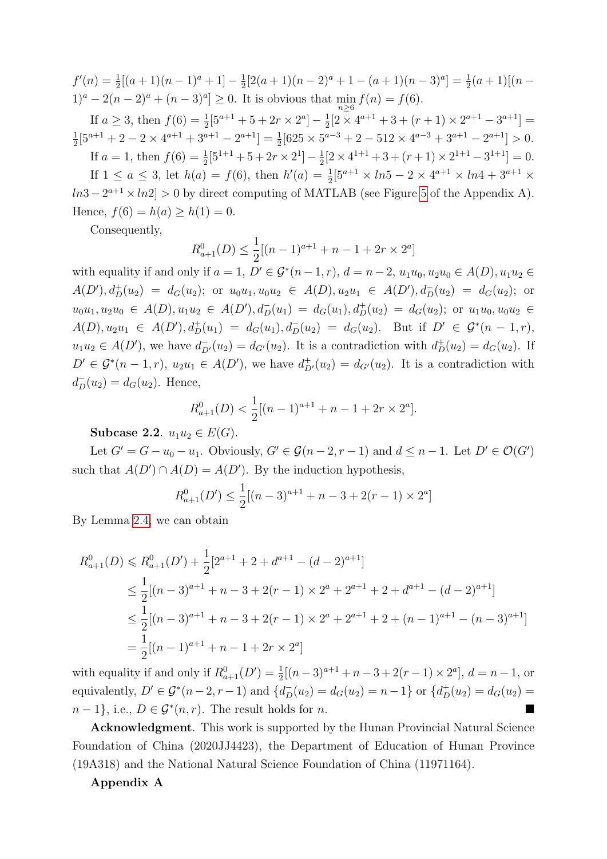$f'(n) = \frac{1}{2}[(a+1)(n-1)^a + 1] - \frac{1}{2}$  $\frac{1}{2}[2(a+1)(n-2)^{a}+1-(a+1)(n-3)^{a}] = \frac{1}{2}(a+1)[(n-1)]$  $1)^{a} - 2(n-2)^{a} + (n-3)^{a} \ge 0$ . It is obvious that  $\min_{n \ge 6} f(n) = f(6)$ .

If  $a \geq 3$ , then  $f(6) = \frac{1}{2}[5^{a+1} + 5 + 2r \times 2^a] - \frac{1}{2}$  $\frac{1}{2}[2 \times 4^{a+1} + 3 + (r+1) \times 2^{a+1} - 3^{a+1}] =$ 1  $\frac{1}{2}[5^{a+1} + 2 - 2 \times 4^{a+1} + 3^{a+1} - 2^{a+1}] = \frac{1}{2}[625 \times 5^{a-3} + 2 - 512 \times 4^{a-3} + 3^{a+1} - 2^{a+1}] > 0.$ 

If  $a = 1$ , then  $f(6) = \frac{1}{2}[5^{1+1} + 5 + 2r \times 2^1] - \frac{1}{2}$  $\frac{1}{2}[2 \times 4^{1+1} + 3 + (r+1) \times 2^{1+1} - 3^{1+1}] = 0.$ If  $1 \le a \le 3$ , let  $h(a) = f(6)$ , then  $h'(a) = \frac{1}{2} [5^{a+1} \times ln5 - 2 \times 4^{a+1} \times ln4 + 3^{a+1} \times$  $ln3 - 2^{a+1} \times ln2$  > 0 by direct computing of MATLAB (see Figure [5](#page-15-5) of the Appendix A). Hence,  $f(6) = h(a) \ge h(1) = 0$ .

Consequently,

$$
R_{a+1}^{0}(D) \le \frac{1}{2}[(n-1)^{a+1} + n - 1 + 2r \times 2^{a}]
$$

with equality if and only if  $a = 1$ ,  $D' \in \mathcal{G}^*(n-1,r)$ ,  $d = n-2$ ,  $u_1u_0, u_2u_0 \in A(D)$ ,  $u_1u_2 \in$  $A(D'), d^+_{D}(u_2) = d_G(u_2);$  or  $u_0u_1, u_0u_2 \in A(D), u_2u_1 \in A(D'), d^-_{D}(u_2) = d_G(u_2);$  or  $u_0u_1, u_2u_0 \in A(D), u_1u_2 \in A(D'), d_D^-(u_1) = d_G(u_1), d_D^+(u_2) = d_G(u_2);$  or  $u_1u_0, u_0u_2 \in A(D)$  $A(D), u_2u_1 \in A(D'), d^+_D(u_1) = d_G(u_1), d^-_D(u_2) = d_G(u_2).$  But if  $D' \in \mathcal{G}^*(n-1,r)$ ,  $u_1u_2 \in A(D')$ , we have  $d_{D'}^-(u_2) = d_{G'}(u_2)$ . It is a contradiction with  $d_D^+(u_2) = d_G(u_2)$ . If  $D' \in \mathcal{G}^*(n-1,r)$ ,  $u_2u_1 \in A(D')$ , we have  $d^+_{D'}(u_2) = d_{G'}(u_2)$ . It is a contradiction with  $d_D^-(u_2) = d_G(u_2)$ . Hence,

$$
R_{a+1}^{0}(D) < \frac{1}{2} \left[ (n-1)^{a+1} + n - 1 + 2r \times 2^{a} \right].
$$

Subcase 2.2.  $u_1u_2 \in E(G)$ .

Let  $G' = G - u_0 - u_1$ . Obviously,  $G' \in \mathcal{G}(n-2, r-1)$  and  $d \leq n-1$ . Let  $D' \in \mathcal{O}(G')$ such that  $A(D') \cap A(D) = A(D')$ . By the induction hypothesis,

$$
R_{a+1}^{0}(D') \le \frac{1}{2}[(n-3)^{a+1} + n - 3 + 2(r - 1) \times 2^{a}]
$$

By Lemma [2.4,](#page-5-0) we can obtain

$$
R_{a+1}^{0}(D) \leq R_{a+1}^{0}(D') + \frac{1}{2}[2^{a+1} + 2 + d^{a+1} - (d-2)^{a+1}]
$$
  
\n
$$
\leq \frac{1}{2}[(n-3)^{a+1} + n - 3 + 2(r - 1) \times 2^{a} + 2^{a+1} + 2 + d^{a+1} - (d-2)^{a+1}]
$$
  
\n
$$
\leq \frac{1}{2}[(n-3)^{a+1} + n - 3 + 2(r - 1) \times 2^{a} + 2^{a+1} + 2 + (n-1)^{a+1} - (n-3)^{a+1}]
$$
  
\n
$$
= \frac{1}{2}[(n-1)^{a+1} + n - 1 + 2r \times 2^{a}]
$$

with equality if and only if  $R_{a+1}^0(D') = \frac{1}{2}[(n-3)^{a+1} + n - 3 + 2(r-1) \times 2^a], d = n-1$ , or equivalently,  $D' \in \mathcal{G}^*(n-2, r-1)$  and  $\{d_D^-(u_2) = d_G(u_2) = n-1\}$  or  $\{d_D^+(u_2) = d_G(u_2) =$  $n-1$ , i.e.,  $D \in \mathcal{G}^*(n,r)$ . The result holds for n.

Acknowledgment. This work is supported by the Hunan Provincial Natural Science Foundation of China (2020JJ4423), the Department of Education of Hunan Province (19A318) and the National Natural Science Foundation of China (11971164).

Appendix A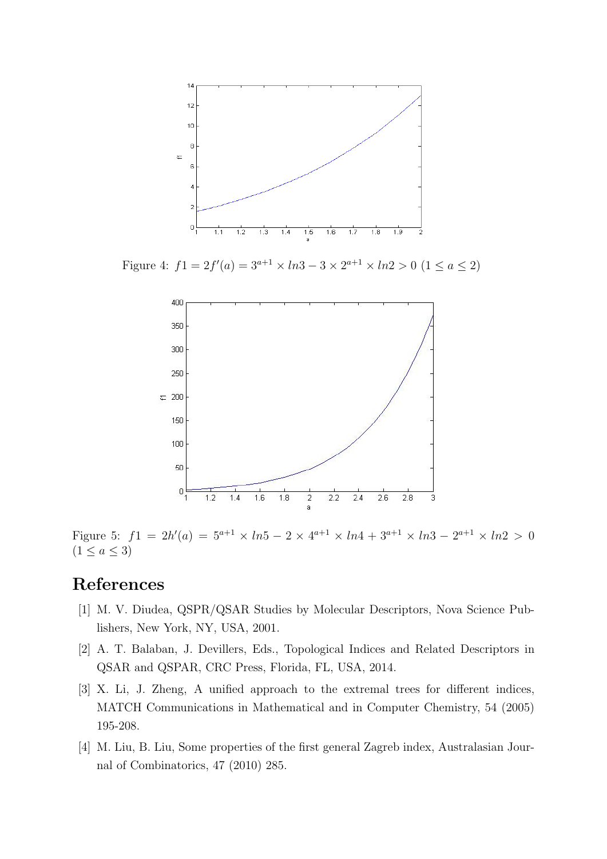

Figure 4:  $f1 = 2f'(a) = 3^{a+1} \times ln3 - 3 \times 2^{a+1} \times ln2 > 0$   $(1 \le a \le 2)$ 

<span id="page-15-4"></span>

<span id="page-15-5"></span>Figure 5:  $f_1 = 2h'(a) = 5^{a+1} \times ln5 - 2 \times 4^{a+1} \times ln4 + 3^{a+1} \times ln3 - 2^{a+1} \times ln2 > 0$  $(1 \le a \le 3)$ 

## References

- <span id="page-15-0"></span>[1] M. V. Diudea, QSPR/QSAR Studies by Molecular Descriptors, Nova Science Publishers, New York, NY, USA, 2001.
- <span id="page-15-1"></span>[2] A. T. Balaban, J. Devillers, Eds., Topological Indices and Related Descriptors in QSAR and QSPAR, CRC Press, Florida, FL, USA, 2014.
- <span id="page-15-2"></span>[3] X. Li, J. Zheng, A unified approach to the extremal trees for different indices, MATCH Communications in Mathematical and in Computer Chemistry, 54 (2005) 195-208.
- <span id="page-15-3"></span>[4] M. Liu, B. Liu, Some properties of the first general Zagreb index, Australasian Journal of Combinatorics, 47 (2010) 285.